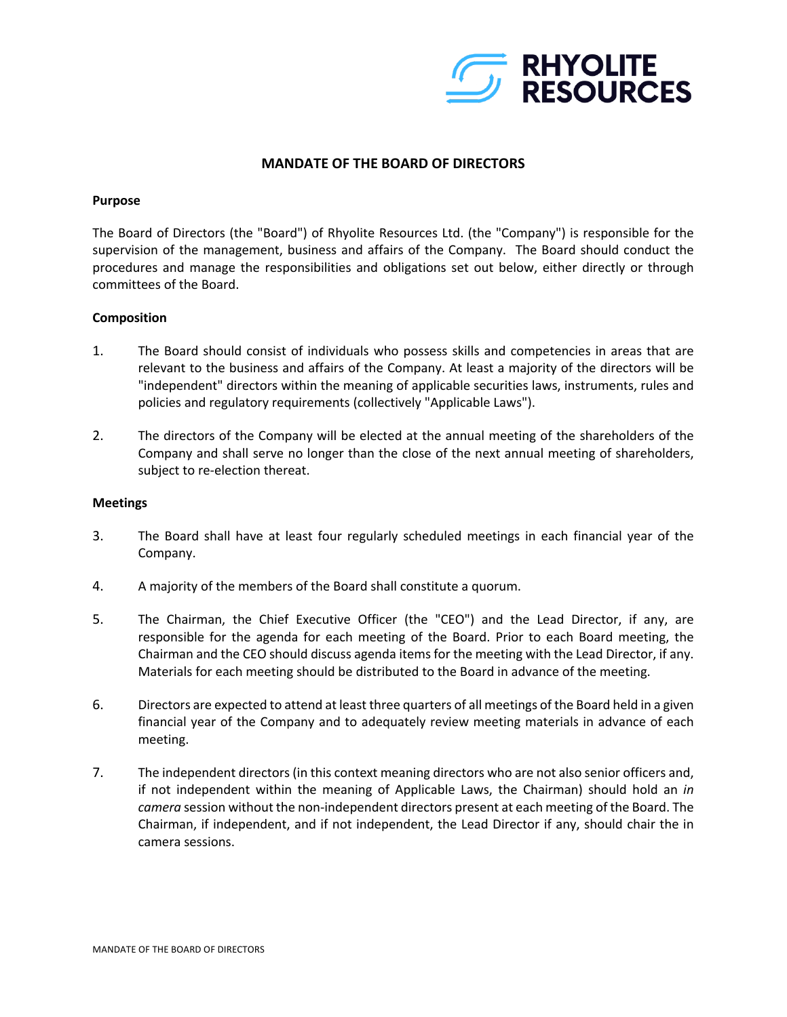

## **MANDATE OF THE BOARD OF DIRECTORS**

#### **Purpose**

The Board of Directors (the "Board") of Rhyolite Resources Ltd. (the "Company") is responsible for the supervision of the management, business and affairs of the Company. The Board should conduct the procedures and manage the responsibilities and obligations set out below, either directly or through committees of the Board.

## **Composition**

- 1. The Board should consist of individuals who possess skills and competencies in areas that are relevant to the business and affairs of the Company. At least a majority of the directors will be "independent" directors within the meaning of applicable securities laws, instruments, rules and policies and regulatory requirements (collectively "Applicable Laws").
- 2. The directors of the Company will be elected at the annual meeting of the shareholders of the Company and shall serve no longer than the close of the next annual meeting of shareholders, subject to re-election thereat.

#### **Meetings**

- 3. The Board shall have at least four regularly scheduled meetings in each financial year of the Company.
- 4. A majority of the members of the Board shall constitute a quorum.
- 5. The Chairman, the Chief Executive Officer (the "CEO") and the Lead Director, if any, are responsible for the agenda for each meeting of the Board. Prior to each Board meeting, the Chairman and the CEO should discuss agenda items for the meeting with the Lead Director, if any. Materials for each meeting should be distributed to the Board in advance of the meeting.
- 6. Directors are expected to attend at least three quarters of all meetings of the Board held in a given financial year of the Company and to adequately review meeting materials in advance of each meeting.
- 7. The independent directors (in this context meaning directors who are not also senior officers and, if not independent within the meaning of Applicable Laws, the Chairman) should hold an *in camera* session without the non-independent directors present at each meeting of the Board. The Chairman, if independent, and if not independent, the Lead Director if any, should chair the in camera sessions.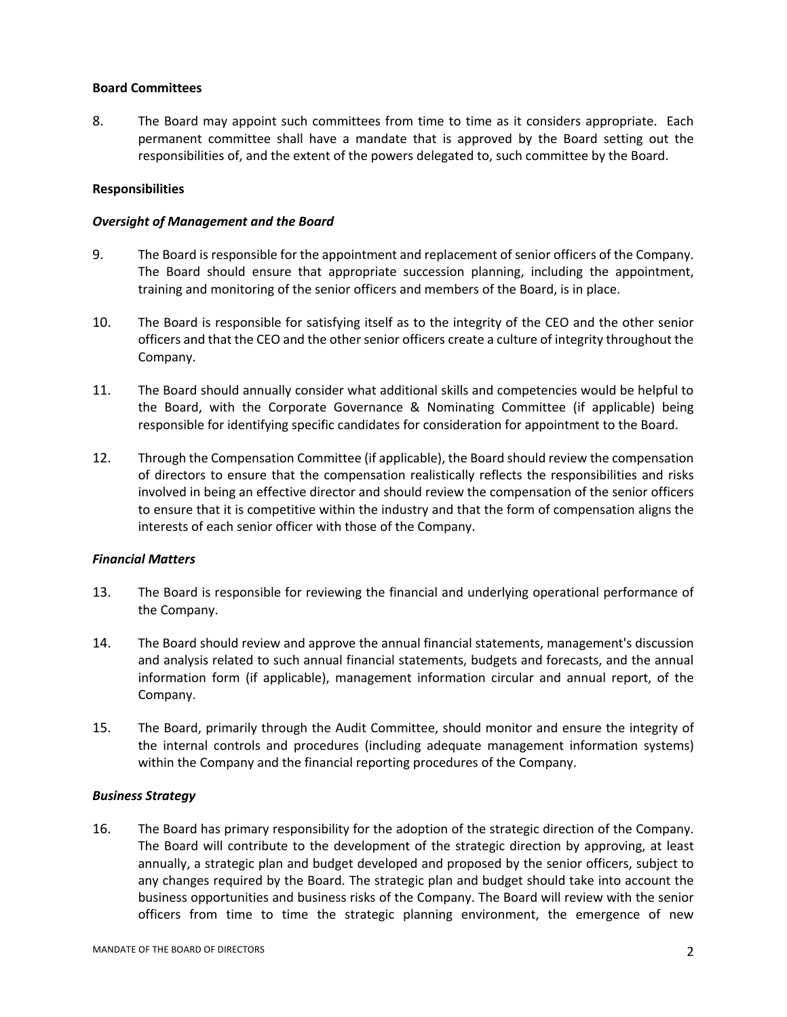## **Board Committees**

8. The Board may appoint such committees from time to time as it considers appropriate. Each permanent committee shall have a mandate that is approved by the Board setting out the responsibilities of, and the extent of the powers delegated to, such committee by the Board.

## **Responsibilities**

### *Oversight of Management and the Board*

- 9. The Board is responsible for the appointment and replacement of senior officers of the Company. The Board should ensure that appropriate succession planning, including the appointment, training and monitoring of the senior officers and members of the Board, is in place.
- 10. The Board is responsible for satisfying itself as to the integrity of the CEO and the other senior officers and that the CEO and the other senior officers create a culture of integrity throughout the Company.
- 11. The Board should annually consider what additional skills and competencies would be helpful to the Board, with the Corporate Governance & Nominating Committee (if applicable) being responsible for identifying specific candidates for consideration for appointment to the Board.
- 12. Through the Compensation Committee (if applicable), the Board should review the compensation of directors to ensure that the compensation realistically reflects the responsibilities and risks involved in being an effective director and should review the compensation of the senior officers to ensure that it is competitive within the industry and that the form of compensation aligns the interests of each senior officer with those of the Company.

#### *Financial Matters*

- 13. The Board is responsible for reviewing the financial and underlying operational performance of the Company.
- 14. The Board should review and approve the annual financial statements, management's discussion and analysis related to such annual financial statements, budgets and forecasts, and the annual information form (if applicable), management information circular and annual report, of the Company.
- 15. The Board, primarily through the Audit Committee, should monitor and ensure the integrity of the internal controls and procedures (including adequate management information systems) within the Company and the financial reporting procedures of the Company.

## *Business Strategy*

16. The Board has primary responsibility for the adoption of the strategic direction of the Company. The Board will contribute to the development of the strategic direction by approving, at least annually, a strategic plan and budget developed and proposed by the senior officers, subject to any changes required by the Board. The strategic plan and budget should take into account the business opportunities and business risks of the Company. The Board will review with the senior officers from time to time the strategic planning environment, the emergence of new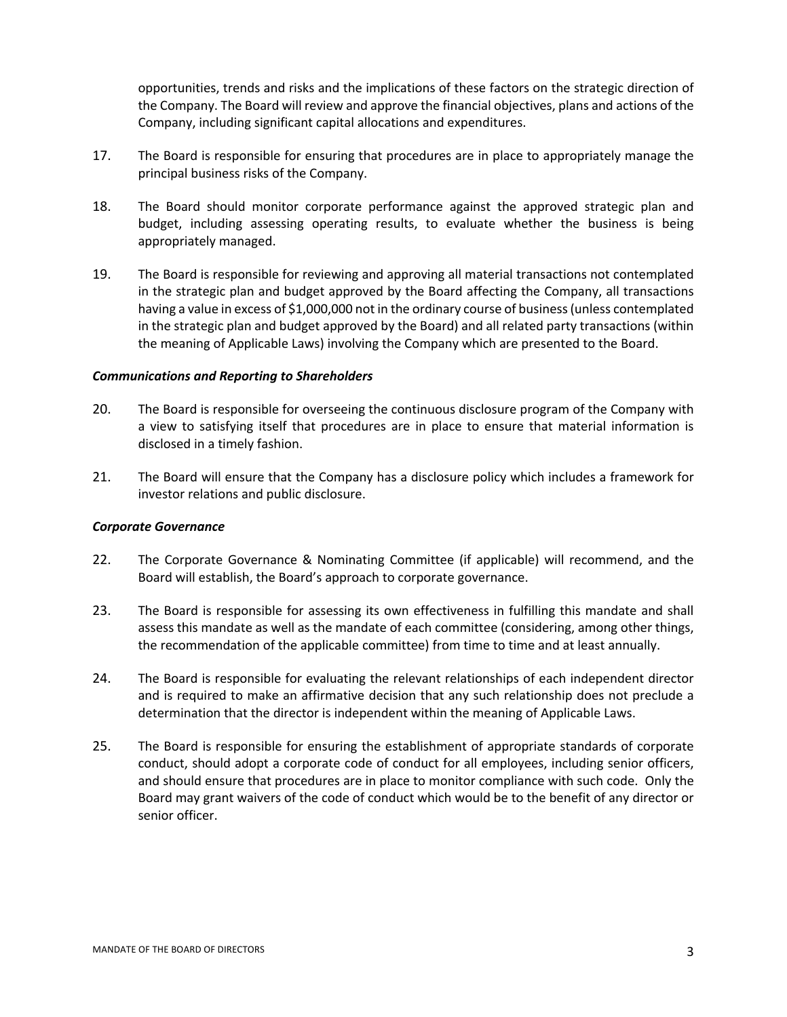opportunities, trends and risks and the implications of these factors on the strategic direction of the Company. The Board will review and approve the financial objectives, plans and actions of the Company, including significant capital allocations and expenditures.

- 17. The Board is responsible for ensuring that procedures are in place to appropriately manage the principal business risks of the Company.
- 18. The Board should monitor corporate performance against the approved strategic plan and budget, including assessing operating results, to evaluate whether the business is being appropriately managed.
- 19. The Board is responsible for reviewing and approving all material transactions not contemplated in the strategic plan and budget approved by the Board affecting the Company, all transactions having a value in excess of \$1,000,000 not in the ordinary course of business (unless contemplated in the strategic plan and budget approved by the Board) and all related party transactions (within the meaning of Applicable Laws) involving the Company which are presented to the Board.

## *Communications and Reporting to Shareholders*

- 20. The Board is responsible for overseeing the continuous disclosure program of the Company with a view to satisfying itself that procedures are in place to ensure that material information is disclosed in a timely fashion.
- 21. The Board will ensure that the Company has a disclosure policy which includes a framework for investor relations and public disclosure.

#### *Corporate Governance*

- 22. The Corporate Governance & Nominating Committee (if applicable) will recommend, and the Board will establish, the Board's approach to corporate governance.
- 23. The Board is responsible for assessing its own effectiveness in fulfilling this mandate and shall assess this mandate as well as the mandate of each committee (considering, among other things, the recommendation of the applicable committee) from time to time and at least annually.
- 24. The Board is responsible for evaluating the relevant relationships of each independent director and is required to make an affirmative decision that any such relationship does not preclude a determination that the director is independent within the meaning of Applicable Laws.
- 25. The Board is responsible for ensuring the establishment of appropriate standards of corporate conduct, should adopt a corporate code of conduct for all employees, including senior officers, and should ensure that procedures are in place to monitor compliance with such code. Only the Board may grant waivers of the code of conduct which would be to the benefit of any director or senior officer.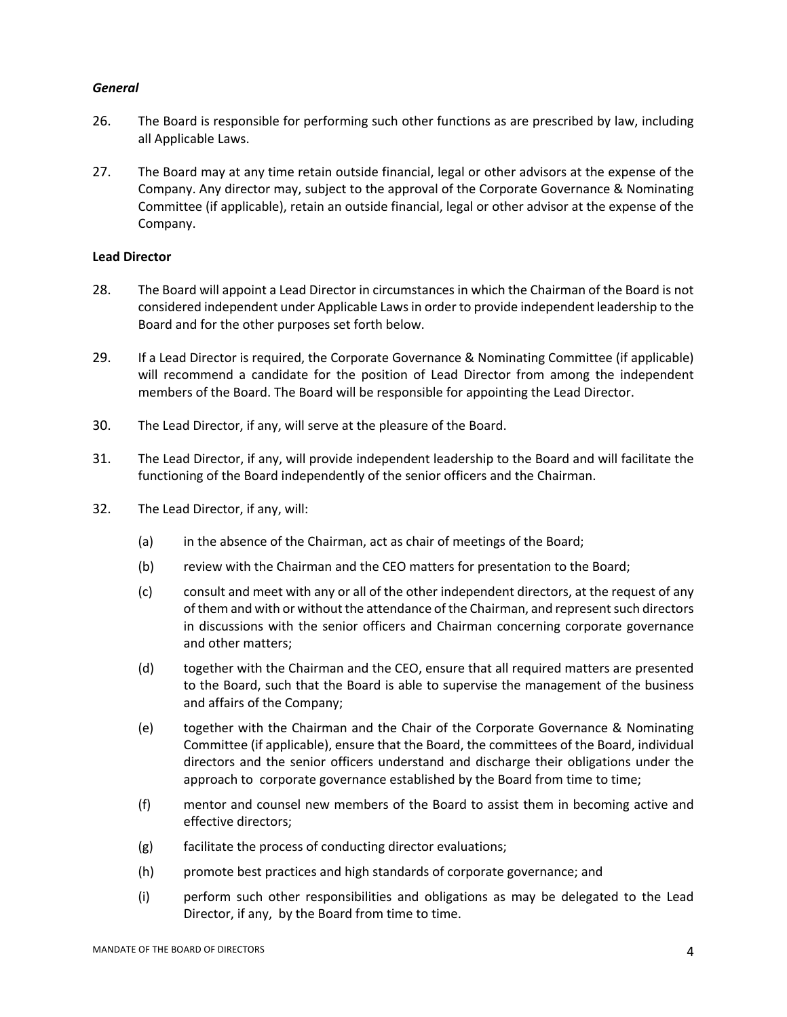## *General*

- 26. The Board is responsible for performing such other functions as are prescribed by law, including all Applicable Laws.
- 27. The Board may at any time retain outside financial, legal or other advisors at the expense of the Company. Any director may, subject to the approval of the Corporate Governance & Nominating Committee (if applicable), retain an outside financial, legal or other advisor at the expense of the Company.

## **Lead Director**

- 28. The Board will appoint a Lead Director in circumstances in which the Chairman of the Board is not considered independent under Applicable Laws in order to provide independent leadership to the Board and for the other purposes set forth below.
- 29. If a Lead Director is required, the Corporate Governance & Nominating Committee (if applicable) will recommend a candidate for the position of Lead Director from among the independent members of the Board. The Board will be responsible for appointing the Lead Director.
- 30. The Lead Director, if any, will serve at the pleasure of the Board.
- 31. The Lead Director, if any, will provide independent leadership to the Board and will facilitate the functioning of the Board independently of the senior officers and the Chairman.
- 32. The Lead Director, if any, will:
	- (a) in the absence of the Chairman, act as chair of meetings of the Board;
	- (b) review with the Chairman and the CEO matters for presentation to the Board;
	- (c) consult and meet with any or all of the other independent directors, at the request of any of them and with or without the attendance of the Chairman, and represent such directors in discussions with the senior officers and Chairman concerning corporate governance and other matters;
	- (d) together with the Chairman and the CEO, ensure that all required matters are presented to the Board, such that the Board is able to supervise the management of the business and affairs of the Company;
	- (e) together with the Chairman and the Chair of the Corporate Governance & Nominating Committee (if applicable), ensure that the Board, the committees of the Board, individual directors and the senior officers understand and discharge their obligations under the approach to corporate governance established by the Board from time to time;
	- (f) mentor and counsel new members of the Board to assist them in becoming active and effective directors;
	- (g) facilitate the process of conducting director evaluations;
	- (h) promote best practices and high standards of corporate governance; and
	- (i) perform such other responsibilities and obligations as may be delegated to the Lead Director, if any, by the Board from time to time.